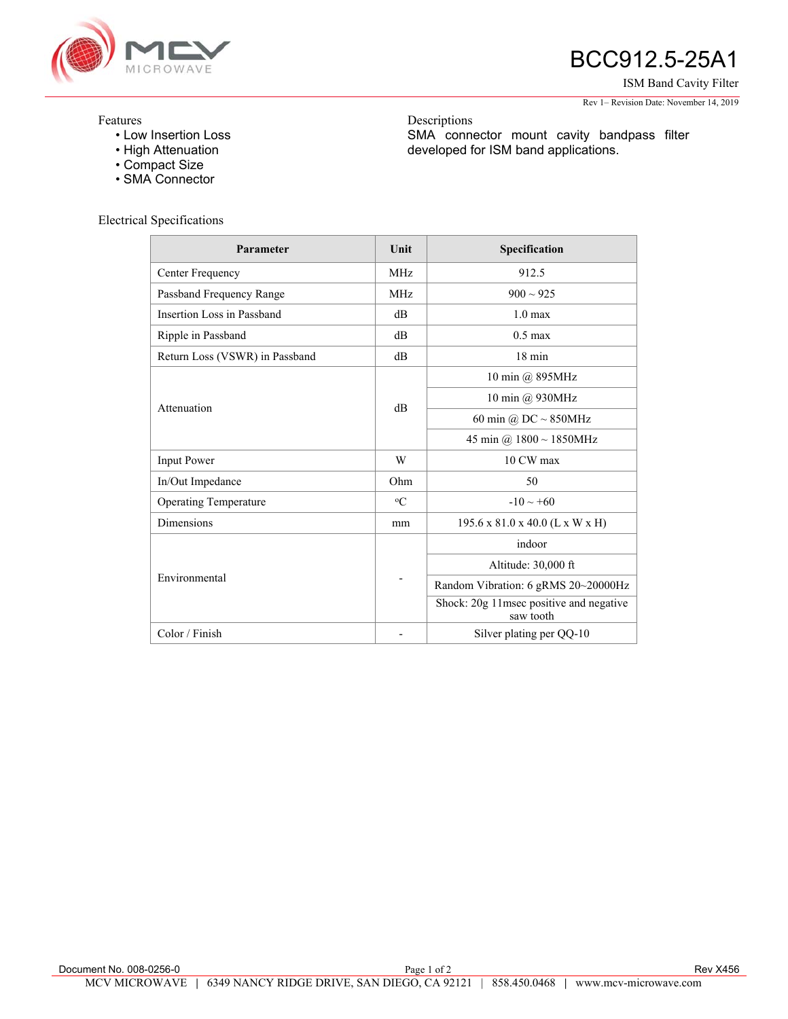

# BCC912.5-25A1

ISM Band Cavity Filter

#### Rev 1– Revision Date: November 14, 2019

## Features

- Low Insertion Loss
- High Attenuation
- Compact Size
- SMA Connector

### Electrical Specifications

| Parameter                      | Unit           | Specification                                        |
|--------------------------------|----------------|------------------------------------------------------|
| Center Frequency               | <b>MHz</b>     | 912.5                                                |
| Passband Frequency Range       | <b>MHz</b>     | $900 \sim 925$                                       |
| Insertion Loss in Passband     | d <sub>B</sub> | 1.0 <sub>max</sub>                                   |
| Ripple in Passband             | dB             | $0.5 \text{ max}$                                    |
| Return Loss (VSWR) in Passband | dB             | $18 \text{ min}$                                     |
| Attenuation                    | d <sub>B</sub> | 10 min @ 895MHz                                      |
|                                |                | 10 min @ 930MHz                                      |
|                                |                | 60 min @ $DC \sim 850MHz$                            |
|                                |                | 45 min @ $1800 \sim 1850$ MHz                        |
| <b>Input Power</b>             | W              | 10 CW max                                            |
| In/Out Impedance               | Ohm            | 50                                                   |
| <b>Operating Temperature</b>   | $\rm ^{o}C$    | $-10 \sim +60$                                       |
| Dimensions                     | mm             | 195.6 x 81.0 x 40.0 (L x W x H)                      |
| Environmental                  | -              | indoor                                               |
|                                |                | Altitude: 30,000 ft                                  |
|                                |                | Random Vibration: 6 gRMS 20~20000Hz                  |
|                                |                | Shock: 20g 11msec positive and negative<br>saw tooth |
| Color / Finish                 |                | Silver plating per QQ-10                             |

Descriptions

SMA connector mount cavity bandpass filter

developed for ISM band applications.

Document No. 008-0256-0 **Page 1 of 2** Rev X456 **Page 1 of 2** Rev X456 MCV MICROWAVE **|** 6349 NANCY RIDGE DRIVE, SAN DIEGO, CA 92121 | 858.450.0468 **|** www.mcv-microwave.com